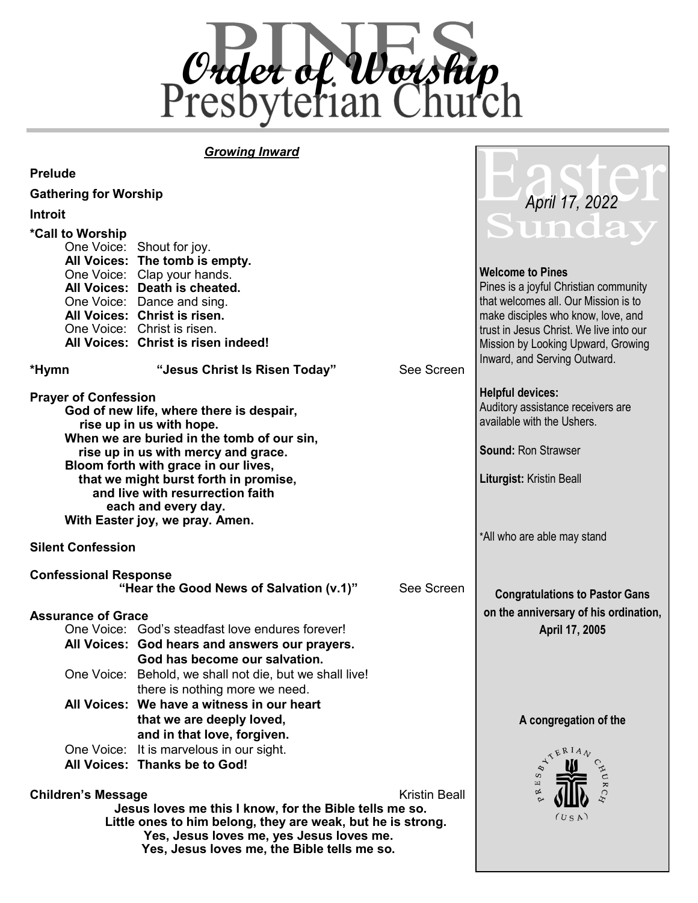

#### *Growing Inward*

**Prelude**

| r i eiuue                                         |                                                             |            |                                         |
|---------------------------------------------------|-------------------------------------------------------------|------------|-----------------------------------------|
| <b>Gathering for Worship</b>                      |                                                             |            | April 17, 2022                          |
| <b>Introit</b>                                    |                                                             |            |                                         |
| *Call to Worship                                  |                                                             |            | Sunda                                   |
|                                                   | One Voice: Shout for joy.                                   |            |                                         |
|                                                   | All Voices: The tomb is empty.                              |            |                                         |
|                                                   | One Voice: Clap your hands.                                 |            | <b>Welcome to Pines</b>                 |
|                                                   | All Voices: Death is cheated.                               |            | Pines is a joyful Christian community   |
|                                                   | One Voice: Dance and sing.                                  |            | that welcomes all. Our Mission is to    |
|                                                   | All Voices: Christ is risen.                                |            | make disciples who know, love, and      |
|                                                   | One Voice: Christ is risen.                                 |            | trust in Jesus Christ. We live into our |
|                                                   | All Voices: Christ is risen indeed!                         |            | Mission by Looking Upward, Growing      |
|                                                   |                                                             |            | Inward, and Serving Outward.            |
| *Hymn                                             | "Jesus Christ Is Risen Today"                               | See Screen |                                         |
| <b>Prayer of Confession</b>                       |                                                             |            | <b>Helpful devices:</b>                 |
|                                                   | God of new life, where there is despair,                    |            | Auditory assistance receivers are       |
|                                                   | rise up in us with hope.                                    |            | available with the Ushers.              |
|                                                   | When we are buried in the tomb of our sin,                  |            |                                         |
|                                                   | rise up in us with mercy and grace.                         |            | <b>Sound: Ron Strawser</b>              |
|                                                   | Bloom forth with grace in our lives,                        |            |                                         |
|                                                   | that we might burst forth in promise,                       |            | Liturgist: Kristin Beall                |
|                                                   | and live with resurrection faith                            |            |                                         |
|                                                   | each and every day.                                         |            |                                         |
|                                                   | With Easter joy, we pray. Amen.                             |            |                                         |
| <b>Silent Confession</b>                          |                                                             |            | *All who are able may stand             |
| <b>Confessional Response</b>                      |                                                             |            |                                         |
|                                                   | "Hear the Good News of Salvation (v.1)"                     | See Screen | <b>Congratulations to Pastor Gans</b>   |
|                                                   |                                                             |            |                                         |
| <b>Assurance of Grace</b>                         |                                                             |            | on the anniversary of his ordination,   |
|                                                   | One Voice: God's steadfast love endures forever!            |            | April 17, 2005                          |
|                                                   | All Voices: God hears and answers our prayers.              |            |                                         |
|                                                   | God has become our salvation.                               |            |                                         |
|                                                   | One Voice: Behold, we shall not die, but we shall live!     |            |                                         |
|                                                   | there is nothing more we need.                              |            |                                         |
|                                                   | All Voices: We have a witness in our heart                  |            |                                         |
|                                                   | that we are deeply loved,                                   |            | A congregation of the                   |
|                                                   | and in that love, forgiven.                                 |            |                                         |
|                                                   | One Voice: It is marvelous in our sight.                    |            | YERIAN                                  |
|                                                   | All Voices: Thanks be to God!                               |            |                                         |
|                                                   |                                                             |            | S                                       |
| <b>Children's Message</b><br><b>Kristin Beall</b> |                                                             |            | R E                                     |
|                                                   | Jesus loves me this I know, for the Bible tells me so.      |            |                                         |
|                                                   | Little ones to him belong, they are weak, but he is strong. | (US A)     |                                         |
|                                                   | Yes, Jesus loves me, yes Jesus loves me.                    |            |                                         |
|                                                   | Yes, Jesus loves me, the Bible tells me so.                 |            |                                         |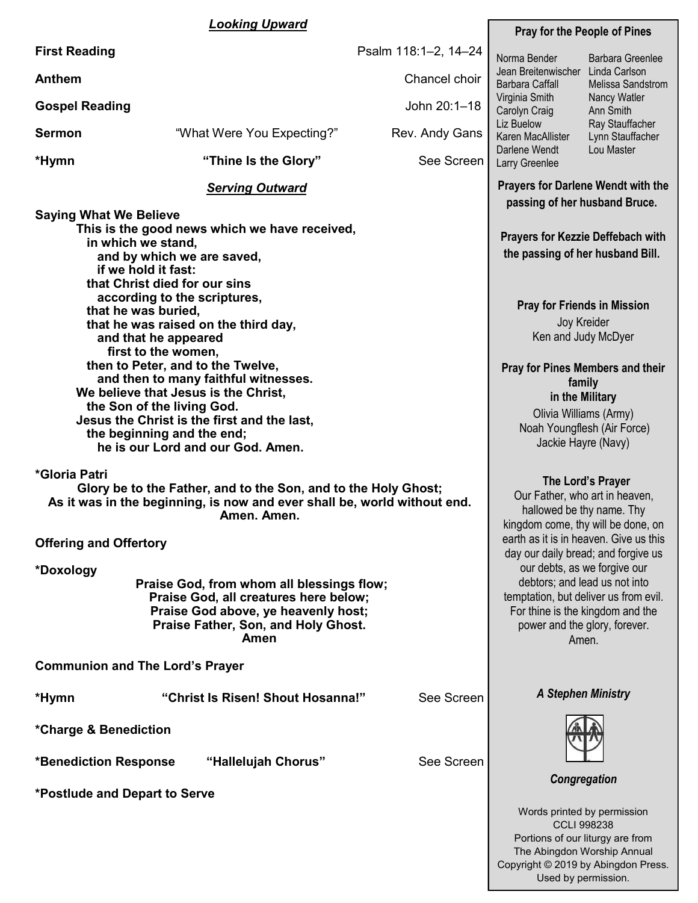#### *Looking Upward*

| <u>Looking Upward</u>                                                                                                                                                                                                                                                                                                                                                                                                                                                                                                                                                                                         |                                                                                                                                                                                                                                                                                                                  |                                                                            | <b>Pray for the People of Pines</b>                                                                                                                                                                                                                                                                                                                                                             |                         |  |
|---------------------------------------------------------------------------------------------------------------------------------------------------------------------------------------------------------------------------------------------------------------------------------------------------------------------------------------------------------------------------------------------------------------------------------------------------------------------------------------------------------------------------------------------------------------------------------------------------------------|------------------------------------------------------------------------------------------------------------------------------------------------------------------------------------------------------------------------------------------------------------------------------------------------------------------|----------------------------------------------------------------------------|-------------------------------------------------------------------------------------------------------------------------------------------------------------------------------------------------------------------------------------------------------------------------------------------------------------------------------------------------------------------------------------------------|-------------------------|--|
| <b>First Reading</b>                                                                                                                                                                                                                                                                                                                                                                                                                                                                                                                                                                                          |                                                                                                                                                                                                                                                                                                                  | Psalm 118:1-2, 14-24                                                       | Norma Bender                                                                                                                                                                                                                                                                                                                                                                                    | <b>Barbara Greenlee</b> |  |
| <b>Anthem</b>                                                                                                                                                                                                                                                                                                                                                                                                                                                                                                                                                                                                 |                                                                                                                                                                                                                                                                                                                  | Chancel choir                                                              | Jean Breitenwischer Linda Carlson<br>Barbara Caffall<br>Melissa Sandstrom                                                                                                                                                                                                                                                                                                                       |                         |  |
| <b>Gospel Reading</b>                                                                                                                                                                                                                                                                                                                                                                                                                                                                                                                                                                                         |                                                                                                                                                                                                                                                                                                                  | John 20:1-18                                                               | Virginia Smith<br>Nancy Watler<br>Carolyn Craig<br>Ann Smith                                                                                                                                                                                                                                                                                                                                    |                         |  |
| <b>Sermon</b>                                                                                                                                                                                                                                                                                                                                                                                                                                                                                                                                                                                                 | "What Were You Expecting?"                                                                                                                                                                                                                                                                                       | Rev. Andy Gans                                                             | Liz Buelow<br>Ray Stauffacher<br>Karen MacAllister<br>Lynn Stauffacher<br>Darlene Wendt<br>Lou Master<br>Larry Greenlee                                                                                                                                                                                                                                                                         |                         |  |
| *Hymn                                                                                                                                                                                                                                                                                                                                                                                                                                                                                                                                                                                                         | "Thine Is the Glory"                                                                                                                                                                                                                                                                                             | See Screen                                                                 |                                                                                                                                                                                                                                                                                                                                                                                                 |                         |  |
|                                                                                                                                                                                                                                                                                                                                                                                                                                                                                                                                                                                                               |                                                                                                                                                                                                                                                                                                                  | <b>Prayers for Darlene Wendt with the</b><br>passing of her husband Bruce. |                                                                                                                                                                                                                                                                                                                                                                                                 |                         |  |
| <b>Saying What We Believe</b><br>This is the good news which we have received,<br>in which we stand,<br>and by which we are saved,<br>if we hold it fast:<br>that Christ died for our sins<br>according to the scriptures,<br>that he was buried,<br>that he was raised on the third day,<br>and that he appeared<br>first to the women,<br>then to Peter, and to the Twelve,<br>and then to many faithful witnesses.<br>We believe that Jesus is the Christ,<br>the Son of the living God.<br>Jesus the Christ is the first and the last,<br>the beginning and the end;<br>he is our Lord and our God. Amen. | <b>Prayers for Kezzie Deffebach with</b><br>the passing of her husband Bill.<br><b>Pray for Friends in Mission</b><br>Joy Kreider<br>Ken and Judy McDyer<br><b>Pray for Pines Members and their</b><br>family<br>in the Military<br>Olivia Williams (Army)<br>Noah Youngflesh (Air Force)<br>Jackie Hayre (Navy) |                                                                            |                                                                                                                                                                                                                                                                                                                                                                                                 |                         |  |
| *Gloria Patri<br>Glory be to the Father, and to the Son, and to the Holy Ghost;<br>As it was in the beginning, is now and ever shall be, world without end.<br>Amen. Amen.<br><b>Offering and Offertory</b><br>*Doxology<br>Praise God, from whom all blessings flow;<br>Praise God, all creatures here below;<br>Praise God above, ye heavenly host;<br>Praise Father, Son, and Holy Ghost.<br>Amen                                                                                                                                                                                                          |                                                                                                                                                                                                                                                                                                                  |                                                                            | The Lord's Prayer<br>Our Father, who art in heaven,<br>hallowed be thy name. Thy<br>kingdom come, thy will be done, on<br>earth as it is in heaven. Give us this<br>day our daily bread; and forgive us<br>our debts, as we forgive our<br>debtors; and lead us not into<br>temptation, but deliver us from evil.<br>For thine is the kingdom and the<br>power and the glory, forever.<br>Amen. |                         |  |
| <b>Communion and The Lord's Prayer</b>                                                                                                                                                                                                                                                                                                                                                                                                                                                                                                                                                                        |                                                                                                                                                                                                                                                                                                                  |                                                                            |                                                                                                                                                                                                                                                                                                                                                                                                 |                         |  |
| *Hymn                                                                                                                                                                                                                                                                                                                                                                                                                                                                                                                                                                                                         | "Christ Is Risen! Shout Hosanna!"                                                                                                                                                                                                                                                                                | See Screen                                                                 | <b>A Stephen Ministry</b>                                                                                                                                                                                                                                                                                                                                                                       |                         |  |
| *Charge & Benediction                                                                                                                                                                                                                                                                                                                                                                                                                                                                                                                                                                                         |                                                                                                                                                                                                                                                                                                                  |                                                                            |                                                                                                                                                                                                                                                                                                                                                                                                 |                         |  |
| <b>*Benediction Response</b>                                                                                                                                                                                                                                                                                                                                                                                                                                                                                                                                                                                  | Congregation                                                                                                                                                                                                                                                                                                     |                                                                            |                                                                                                                                                                                                                                                                                                                                                                                                 |                         |  |
| *Postlude and Depart to Serve                                                                                                                                                                                                                                                                                                                                                                                                                                                                                                                                                                                 |                                                                                                                                                                                                                                                                                                                  |                                                                            | Words printed by permission                                                                                                                                                                                                                                                                                                                                                                     |                         |  |

CCLI 998238 Portions of our liturgy are from The Abingdon Worship Annual Copyright © 2019 by Abingdon Press. Used by permission.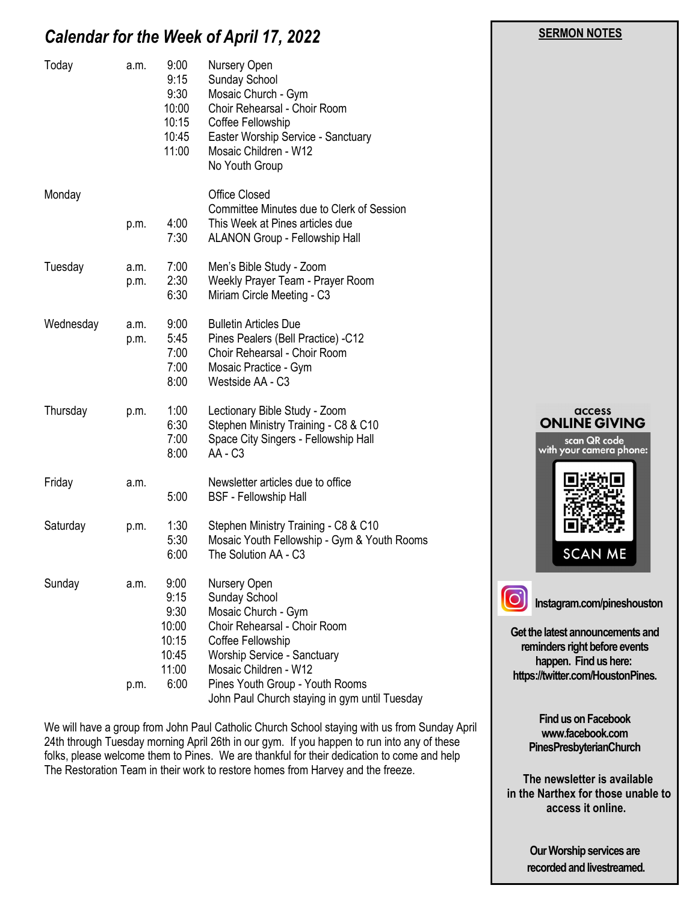#### *Calendar for the Week of April 17, 2022*

| Today     | a.m.         | 9:00<br>9:15<br>9:30<br>10:00<br>10:15<br>10:45<br>11:00         | Nursery Open<br>Sunday School<br>Mosaic Church - Gym<br>Choir Rehearsal - Choir Room<br>Coffee Fellowship<br>Easter Worship Service - Sanctuary<br>Mosaic Children - W12<br>No Youth Group                                                            |                                                                                  |
|-----------|--------------|------------------------------------------------------------------|-------------------------------------------------------------------------------------------------------------------------------------------------------------------------------------------------------------------------------------------------------|----------------------------------------------------------------------------------|
| Monday    | p.m.         | 4:00<br>7:30                                                     | <b>Office Closed</b><br>Committee Minutes due to Clerk of Session<br>This Week at Pines articles due<br>ALANON Group - Fellowship Hall                                                                                                                |                                                                                  |
| Tuesday   | a.m.<br>p.m. | 7:00<br>2:30<br>6:30                                             | Men's Bible Study - Zoom<br>Weekly Prayer Team - Prayer Room<br>Miriam Circle Meeting - C3                                                                                                                                                            |                                                                                  |
| Wednesday | a.m.<br>p.m. | 9:00<br>5:45<br>7:00<br>7:00<br>8:00                             | <b>Bulletin Articles Due</b><br>Pines Pealers (Bell Practice) -C12<br>Choir Rehearsal - Choir Room<br>Mosaic Practice - Gym<br>Westside AA - C3                                                                                                       |                                                                                  |
| Thursday  | p.m.         | 1:00<br>6:30<br>7:00<br>8:00                                     | Lectionary Bible Study - Zoom<br>Stephen Ministry Training - C8 & C10<br>Space City Singers - Fellowship Hall<br>AA - C3                                                                                                                              | <b>ONLII</b><br>scc<br>with you                                                  |
| Friday    | a.m.         | 5:00                                                             | Newsletter articles due to office<br><b>BSF</b> - Fellowship Hall                                                                                                                                                                                     | 男孩                                                                               |
| Saturday  | p.m.         | 1:30<br>5:30<br>6:00                                             | Stephen Ministry Training - C8 & C10<br>Mosaic Youth Fellowship - Gym & Youth Rooms<br>The Solution AA - C3                                                                                                                                           | $\Box$<br>S                                                                      |
| Sunday    | a.m.<br>p.m. | 9:00<br>9:15<br>9:30<br>10:00<br>10:15<br>10:45<br>11:00<br>6:00 | Nursery Open<br>Sunday School<br>Mosaic Church - Gym<br>Choir Rehearsal - Choir Room<br>Coffee Fellowship<br>Worship Service - Sanctuary<br>Mosaic Children - W12<br>Pines Youth Group - Youth Rooms<br>John Paul Church staying in gym until Tuesday | Instagram<br>Get the latest are<br>reminders rig<br>happen.<br>https://twitter.c |

We will have a group from John Paul Catholic Church School staying with us from Sunday April 24th through Tuesday morning April 26th in our gym. If you happen to run into any of these folks, please welcome them to Pines. We are thankful for their dedication to come and help The Restoration Team in their work to restore homes from Harvey and the freeze.

# access **NE GIVING** in QR code<br>r camera phone: N ME.

 **SERMON NOTES** 

**Instagram.com/pineshouston**

**Get the latest announcements and reminders right before events happen. Find us here: bom/HoustonPines.** 

> **Find us on Facebook www.facebook.com PinesPresbyterianChurch**

 **The newsletter is available in the Narthex for those unable to access it online.**

> **Our Worship services are recorded and livestreamed.**